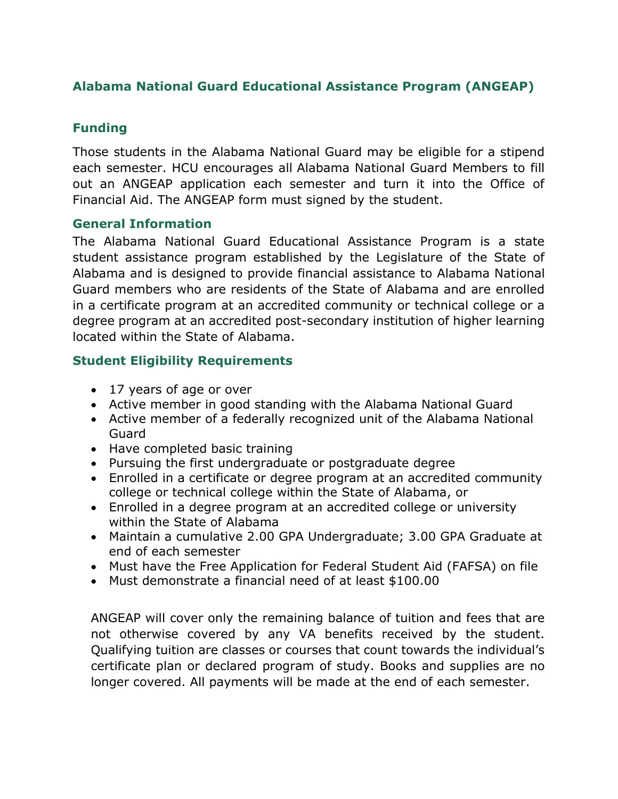# **Alabama National Guard Educational Assistance Program (ANGEAP)**

## **Funding**

Those students in the Alabama National Guard may be eligible for a stipend each semester. HCU encourages all Alabama National Guard Members to fill out an ANGEAP application each semester and turn it into the Office of Financial Aid. The ANGEAP form must signed by the student.

#### **General Information**

The Alabama National Guard Educational Assistance Program is a state student assistance program established by the Legislature of the State of Alabama and is designed to provide financial assistance to Alabama National Guard members who are residents of the State of Alabama and are enrolled in a certificate program at an accredited community or technical college or a degree program at an accredited post-secondary institution of higher learning located within the State of Alabama.

## **Student Eligibility Requirements**

- 17 years of age or over
- Active member in good standing with the Alabama National Guard
- Active member of a federally recognized unit of the Alabama National Guard
- Have completed basic training
- Pursuing the first undergraduate or postgraduate degree
- Enrolled in a certificate or degree program at an accredited community college or technical college within the State of Alabama, or
- Enrolled in a degree program at an accredited college or university within the State of Alabama
- Maintain a cumulative 2.00 GPA Undergraduate; 3.00 GPA Graduate at end of each semester
- Must have the Free Application for Federal Student Aid (FAFSA) on file
- Must demonstrate a financial need of at least \$100.00

ANGEAP will cover only the remaining balance of tuition and fees that are not otherwise covered by any VA benefits received by the student. Qualifying tuition are classes or courses that count towards the individual's certificate plan or declared program of study. Books and supplies are no longer covered. All payments will be made at the end of each semester.